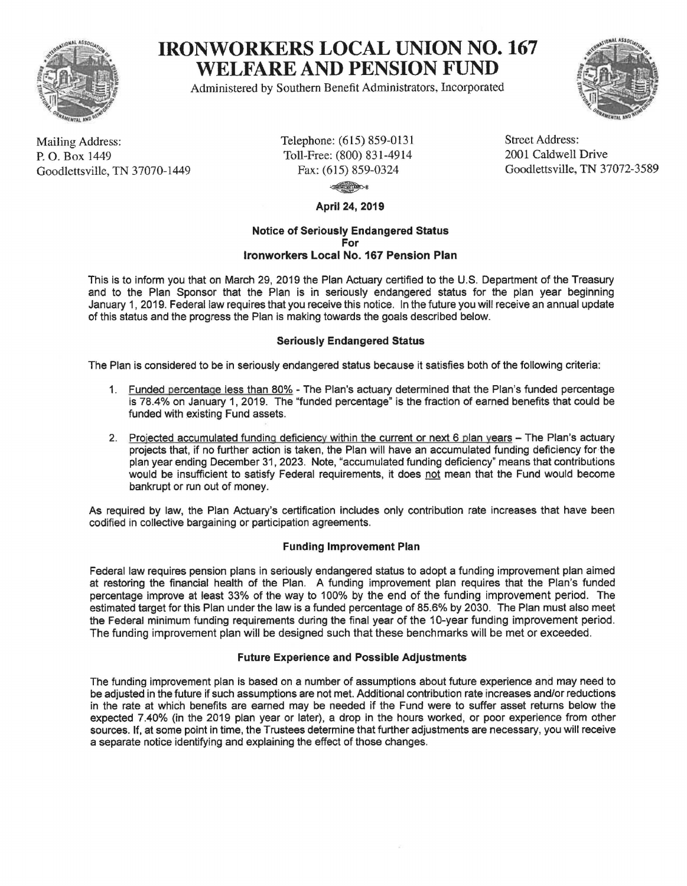

# **IRONWORKERS LOCAL UNION NO. 167 WELFARE AND PENSION FUND**

Administered by Southern Benefit Administrators, Incorporated



Mailing Address: P. 0. Box 1449 Goodlettsville, TN 37070-1449 Telephone: (615) 859-0131 Toll-Free: (800) 831-4914 Fax: (615) 859-0324

Street Address: 2001 Caldwell Drive Goodlettsville, TN 37072-3589

 $-8$ 

**April 24, 2019** 

#### **Notice of Seriously Endangered Status For lronworkers Local No. 167 Pension Plan**

This is to inform you that on March 29, 2019 the Plan Actuary certified to the U.S. Department of the Treasury and to the Plan Sponsor that the Plan is in seriously endangered status for the plan year beginning January 1, 2019. Federal law requires that you receive this notice. In the future you will receive an annual update of this status and the progress the Plan is making towards the goals described below.

# **Seriously Endangered Status**

The Plan is considered to be in seriously endangered status because it satisfies both of the following criteria:

- 1. Funded percentage less than 80% The Plan's actuary determined that the Plan's funded percentage is 78.4% on January 1, 2019. The "funded percentage" is the fraction of earned benefits that could be funded with existing Fund assets.
- 2. Projected accumulated funding deficiency within the current or next 6 plan years The Plan's actuary projects that, if no further action is taken, the Plan will have an accumulated funding deficiency for the plan year ending December 31, 2023. Note, "accumulated funding deficiency" means that contributions would be insufficient to satisfy Federal requirements, it does not mean that the Fund would become bankrupt or run out of money.

As required by law, the Plan Actuary's certification includes only contribution rate increases that have been codified in collective bargaining or participation agreements.

# **Funding Improvement Plan**

Federal law requires pension plans in seriously endangered status to adopt a funding improvement plan aimed at restoring the financial health of the Plan. A funding improvement plan requires that the Plan's funded percentage improve at least 33% of the way to 100% by the end of the funding improvement period. The estimated target for this Plan under the law is a funded percentage of 85.6% by 2030. The Plan must also meet the Federal minimum funding requirements during the final year of the 10-year funding improvement period. The funding improvement plan will be designed such that these benchmarks will be met or exceeded.

# **Future Experience and Possible Adjustments**

The funding improvement plan is based on a number of assumptions about future experience and may need to be adjusted in the future if such assumptions are not met. Additional contribution rate increases and/or reductions in the rate at which benefits are earned may be needed if the Fund were to suffer asset returns below the expected 7.40% (in the 2019 plan year or later), a drop in the hours worked, or poor experience from other sources. If, at some point in time, the Trustees determine that further adjustments are necessary, you will receive a separate notice identifying and explaining the effect of those changes.